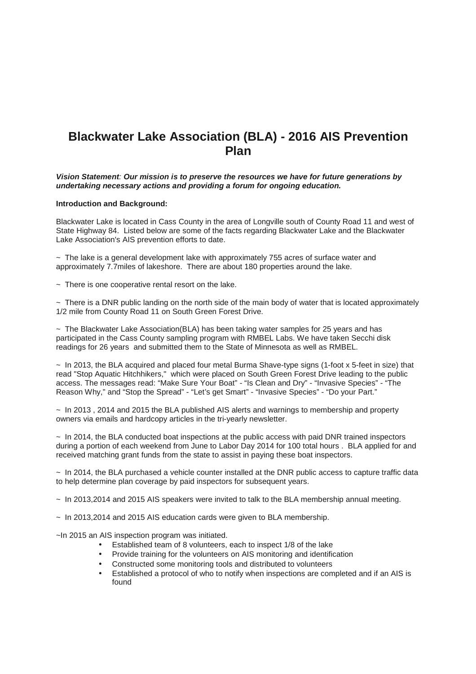## **Blackwater Lake Association (BLA) - 2016 AIS Prevention Plan**

**Vision Statement**: **Our mission is to preserve the resources we have for future generations by undertaking necessary actions and providing a forum for ongoing education.** 

## **Introduction and Background:**

Blackwater Lake is located in Cass County in the area of Longville south of County Road 11 and west of State Highway 84. Listed below are some of the facts regarding Blackwater Lake and the Blackwater Lake Association's AIS prevention efforts to date.

~ The lake is a general development lake with approximately 755 acres of surface water and approximately 7.7miles of lakeshore. There are about 180 properties around the lake.

 $\sim$  There is one cooperative rental resort on the lake.

 $\sim$  There is a DNR public landing on the north side of the main body of water that is located approximately 1/2 mile from County Road 11 on South Green Forest Drive.

 $\sim$  The Blackwater Lake Association(BLA) has been taking water samples for 25 years and has participated in the Cass County sampling program with RMBEL Labs. We have taken Secchi disk readings for 26 years and submitted them to the State of Minnesota as well as RMBEL.

 $\sim$  In 2013, the BLA acquired and placed four metal Burma Shave-type signs (1-foot x 5-feet in size) that read "Stop Aquatic Hitchhikers," which were placed on South Green Forest Drive leading to the public access. The messages read: "Make Sure Your Boat" - "Is Clean and Dry" - "Invasive Species" - "The Reason Why," and "Stop the Spread" - "Let's get Smart" - "Invasive Species" - "Do your Part."

~ In 2013 , 2014 and 2015 the BLA published AIS alerts and warnings to membership and property owners via emails and hardcopy articles in the tri-yearly newsletter.

 $\sim$  In 2014, the BLA conducted boat inspections at the public access with paid DNR trained inspectors during a portion of each weekend from June to Labor Day 2014 for 100 total hours . BLA applied for and received matching grant funds from the state to assist in paying these boat inspectors.

 $\sim$  In 2014, the BLA purchased a vehicle counter installed at the DNR public access to capture traffic data to help determine plan coverage by paid inspectors for subsequent years.

 $\sim$  In 2013, 2014 and 2015 AIS speakers were invited to talk to the BLA membership annual meeting.

 $\sim$  In 2013,2014 and 2015 AIS education cards were given to BLA membership.

~In 2015 an AIS inspection program was initiated.

- Established team of 8 volunteers, each to inspect 1/8 of the lake
- Provide training for the volunteers on AIS monitoring and identification
- Constructed some monitoring tools and distributed to volunteers
- Established a protocol of who to notify when inspections are completed and if an AIS is found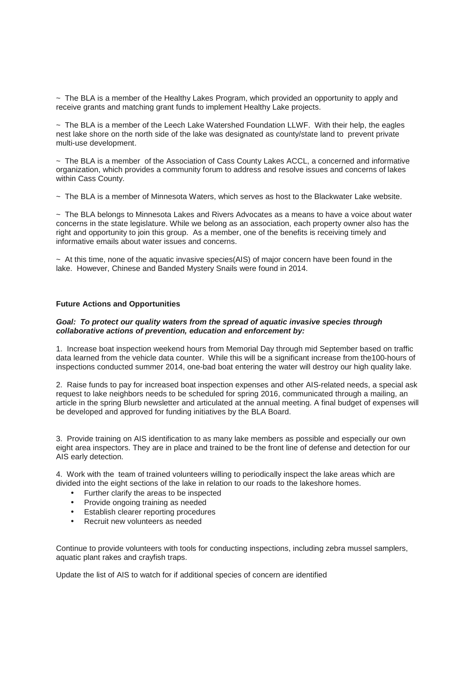$\sim$  The BLA is a member of the Healthy Lakes Program, which provided an opportunity to apply and receive grants and matching grant funds to implement Healthy Lake projects.

 $\sim$  The BLA is a member of the Leech Lake Watershed Foundation LLWF. With their help, the eagles nest lake shore on the north side of the lake was designated as county/state land to prevent private multi-use development.

~ The BLA is a member of the Association of Cass County Lakes ACCL, a concerned and informative organization, which provides a community forum to address and resolve issues and concerns of lakes within Cass County.

~ The BLA is a member of Minnesota Waters, which serves as host to the Blackwater Lake website.

 $\sim$  The BLA belongs to Minnesota Lakes and Rivers Advocates as a means to have a voice about water concerns in the state legislature. While we belong as an association, each property owner also has the right and opportunity to join this group. As a member, one of the benefits is receiving timely and informative emails about water issues and concerns.

 $\sim$  At this time, none of the aquatic invasive species(AIS) of major concern have been found in the lake. However, Chinese and Banded Mystery Snails were found in 2014.

## **Future Actions and Opportunities**

## **Goal: To protect our quality waters from the spread of aquatic invasive species through collaborative actions of prevention, education and enforcement by:**

1. Increase boat inspection weekend hours from Memorial Day through mid September based on traffic data learned from the vehicle data counter. While this will be a significant increase from the100-hours of inspections conducted summer 2014, one-bad boat entering the water will destroy our high quality lake.

2. Raise funds to pay for increased boat inspection expenses and other AIS-related needs, a special ask request to lake neighbors needs to be scheduled for spring 2016, communicated through a mailing, an article in the spring Blurb newsletter and articulated at the annual meeting. A final budget of expenses will be developed and approved for funding initiatives by the BLA Board.

3. Provide training on AIS identification to as many lake members as possible and especially our own eight area inspectors. They are in place and trained to be the front line of defense and detection for our AIS early detection.

4. Work with the team of trained volunteers willing to periodically inspect the lake areas which are divided into the eight sections of the lake in relation to our roads to the lakeshore homes.

- Further clarify the areas to be inspected
- Provide ongoing training as needed
- Establish clearer reporting procedures
- Recruit new volunteers as needed

Continue to provide volunteers with tools for conducting inspections, including zebra mussel samplers, aquatic plant rakes and crayfish traps.

Update the list of AIS to watch for if additional species of concern are identified